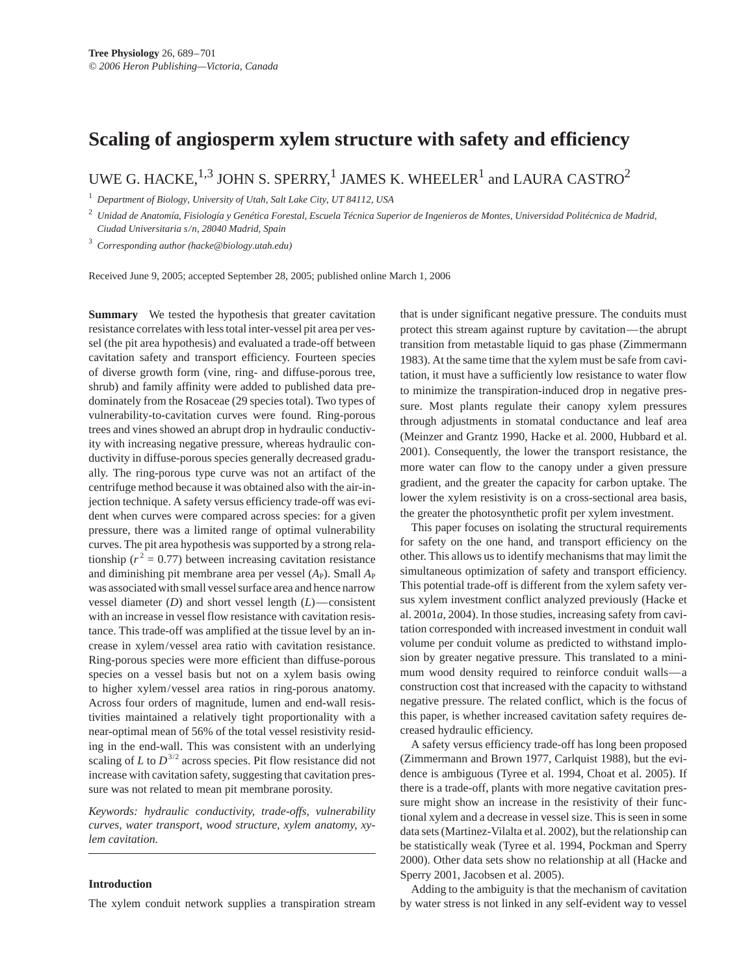# **Scaling of angiosperm xylem structure with safety and efficiency**

UWE G. HACKE,<sup>1,3</sup> JOHN S. SPERRY,<sup>1</sup> JAMES K. WHEELER<sup>1</sup> and LAURA CASTRO<sup>2</sup>

<sup>1</sup> *Department of Biology, University of Utah, Salt Lake City, UT 84112, USA*

<sup>2</sup> *Unidad de Anatomía, Fisiología y Genética Forestal, Escuela Técnica Superior de Ingenieros de Montes, Universidad Politécnica de Madrid, Ciudad Universitaria s/n, 28040 Madrid, Spain*

<sup>3</sup> *Corresponding author (hacke@biology.utah.edu)*

Received June 9, 2005; accepted September 28, 2005; published online March 1, 2006

**Summary** We tested the hypothesis that greater cavitation resistance correlates with less total inter-vessel pit area per vessel (the pit area hypothesis) and evaluated a trade-off between cavitation safety and transport efficiency. Fourteen species of diverse growth form (vine, ring- and diffuse-porous tree, shrub) and family affinity were added to published data predominately from the Rosaceae (29 species total). Two types of vulnerability-to-cavitation curves were found. Ring-porous trees and vines showed an abrupt drop in hydraulic conductivity with increasing negative pressure, whereas hydraulic conductivity in diffuse-porous species generally decreased gradually. The ring-porous type curve was not an artifact of the centrifuge method because it was obtained also with the air-injection technique. A safety versus efficiency trade-off was evident when curves were compared across species: for a given pressure, there was a limited range of optimal vulnerability curves. The pit area hypothesis was supported by a strong relationship ( $r^2 = 0.77$ ) between increasing cavitation resistance and diminishing pit membrane area per vessel  $(A<sub>P</sub>)$ . Small  $A<sub>P</sub>$ was associated with small vessel surface area and hence narrow vessel diameter (*D*) and short vessel length (*L*)—consistent with an increase in vessel flow resistance with cavitation resistance. This trade-off was amplified at the tissue level by an increase in xylem/vessel area ratio with cavitation resistance. Ring-porous species were more efficient than diffuse-porous species on a vessel basis but not on a xylem basis owing to higher xylem/vessel area ratios in ring-porous anatomy. Across four orders of magnitude, lumen and end-wall resistivities maintained a relatively tight proportionality with a near-optimal mean of 56% of the total vessel resistivity residing in the end-wall. This was consistent with an underlying scaling of *L* to  $D^{3/2}$  across species. Pit flow resistance did not increase with cavitation safety, suggesting that cavitation pressure was not related to mean pit membrane porosity.

*Keywords: hydraulic conductivity, trade-offs, vulnerability curves, water transport, wood structure, xylem anatomy, xylem cavitation.*

## **Introduction**

The xylem conduit network supplies a transpiration stream

that is under significant negative pressure. The conduits must protect this stream against rupture by cavitation—the abrupt transition from metastable liquid to gas phase (Zimmermann 1983). At the same time that the xylem must be safe from cavitation, it must have a sufficiently low resistance to water flow to minimize the transpiration-induced drop in negative pressure. Most plants regulate their canopy xylem pressures through adjustments in stomatal conductance and leaf area (Meinzer and Grantz 1990, Hacke et al. 2000, Hubbard et al. 2001). Consequently, the lower the transport resistance, the more water can flow to the canopy under a given pressure gradient, and the greater the capacity for carbon uptake. The lower the xylem resistivity is on a cross-sectional area basis, the greater the photosynthetic profit per xylem investment.

This paper focuses on isolating the structural requirements for safety on the one hand, and transport efficiency on the other. This allows us to identify mechanisms that may limit the simultaneous optimization of safety and transport efficiency. This potential trade-off is different from the xylem safety versus xylem investment conflict analyzed previously (Hacke et al. 2001*a*, 2004). In those studies, increasing safety from cavitation corresponded with increased investment in conduit wall volume per conduit volume as predicted to withstand implosion by greater negative pressure. This translated to a minimum wood density required to reinforce conduit walls—a construction cost that increased with the capacity to withstand negative pressure. The related conflict, which is the focus of this paper, is whether increased cavitation safety requires decreased hydraulic efficiency.

A safety versus efficiency trade-off has long been proposed (Zimmermann and Brown 1977, Carlquist 1988), but the evidence is ambiguous (Tyree et al. 1994, Choat et al. 2005). If there is a trade-off, plants with more negative cavitation pressure might show an increase in the resistivity of their functional xylem and a decrease in vessel size. This is seen in some data sets (Martinez-Vilalta et al. 2002), but the relationship can be statistically weak (Tyree et al. 1994, Pockman and Sperry 2000). Other data sets show no relationship at all (Hacke and Sperry 2001, Jacobsen et al. 2005).

Adding to the ambiguity is that the mechanism of cavitation by water stress is not linked in any self-evident way to vessel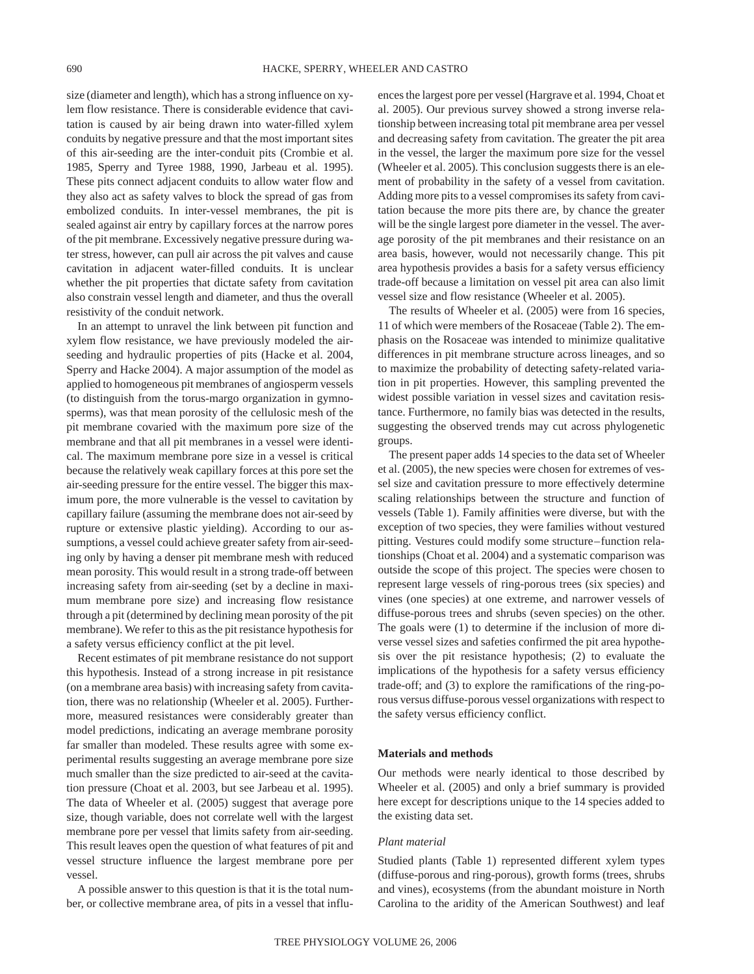size (diameter and length), which has a strong influence on xylem flow resistance. There is considerable evidence that cavitation is caused by air being drawn into water-filled xylem conduits by negative pressure and that the most important sites of this air-seeding are the inter-conduit pits (Crombie et al. 1985, Sperry and Tyree 1988, 1990, Jarbeau et al. 1995). These pits connect adjacent conduits to allow water flow and they also act as safety valves to block the spread of gas from embolized conduits. In inter-vessel membranes, the pit is sealed against air entry by capillary forces at the narrow pores of the pit membrane. Excessively negative pressure during water stress, however, can pull air across the pit valves and cause cavitation in adjacent water-filled conduits. It is unclear whether the pit properties that dictate safety from cavitation also constrain vessel length and diameter, and thus the overall resistivity of the conduit network.

In an attempt to unravel the link between pit function and xylem flow resistance, we have previously modeled the airseeding and hydraulic properties of pits (Hacke et al. 2004, Sperry and Hacke 2004). A major assumption of the model as applied to homogeneous pit membranes of angiosperm vessels (to distinguish from the torus-margo organization in gymnosperms), was that mean porosity of the cellulosic mesh of the pit membrane covaried with the maximum pore size of the membrane and that all pit membranes in a vessel were identical. The maximum membrane pore size in a vessel is critical because the relatively weak capillary forces at this pore set the air-seeding pressure for the entire vessel. The bigger this maximum pore, the more vulnerable is the vessel to cavitation by capillary failure (assuming the membrane does not air-seed by rupture or extensive plastic yielding). According to our assumptions, a vessel could achieve greater safety from air-seeding only by having a denser pit membrane mesh with reduced mean porosity. This would result in a strong trade-off between increasing safety from air-seeding (set by a decline in maximum membrane pore size) and increasing flow resistance through a pit (determined by declining mean porosity of the pit membrane). We refer to this as the pit resistance hypothesis for a safety versus efficiency conflict at the pit level.

Recent estimates of pit membrane resistance do not support this hypothesis. Instead of a strong increase in pit resistance (on a membrane area basis) with increasing safety from cavitation, there was no relationship (Wheeler et al. 2005). Furthermore, measured resistances were considerably greater than model predictions, indicating an average membrane porosity far smaller than modeled. These results agree with some experimental results suggesting an average membrane pore size much smaller than the size predicted to air-seed at the cavitation pressure (Choat et al. 2003, but see Jarbeau et al. 1995). The data of Wheeler et al. (2005) suggest that average pore size, though variable, does not correlate well with the largest membrane pore per vessel that limits safety from air-seeding. This result leaves open the question of what features of pit and vessel structure influence the largest membrane pore per vessel.

A possible answer to this question is that it is the total number, or collective membrane area, of pits in a vessel that influences the largest pore per vessel (Hargrave et al. 1994, Choat et al. 2005). Our previous survey showed a strong inverse relationship between increasing total pit membrane area per vessel and decreasing safety from cavitation. The greater the pit area in the vessel, the larger the maximum pore size for the vessel (Wheeler et al. 2005). This conclusion suggests there is an element of probability in the safety of a vessel from cavitation. Adding more pits to a vessel compromises its safety from cavitation because the more pits there are, by chance the greater will be the single largest pore diameter in the vessel. The average porosity of the pit membranes and their resistance on an area basis, however, would not necessarily change. This pit area hypothesis provides a basis for a safety versus efficiency trade-off because a limitation on vessel pit area can also limit vessel size and flow resistance (Wheeler et al. 2005).

The results of Wheeler et al. (2005) were from 16 species, 11 of which were members of the Rosaceae (Table 2). The emphasis on the Rosaceae was intended to minimize qualitative differences in pit membrane structure across lineages, and so to maximize the probability of detecting safety-related variation in pit properties. However, this sampling prevented the widest possible variation in vessel sizes and cavitation resistance. Furthermore, no family bias was detected in the results, suggesting the observed trends may cut across phylogenetic groups.

The present paper adds 14 species to the data set of Wheeler et al. (2005), the new species were chosen for extremes of vessel size and cavitation pressure to more effectively determine scaling relationships between the structure and function of vessels (Table 1). Family affinities were diverse, but with the exception of two species, they were families without vestured pitting. Vestures could modify some structure–function relationships (Choat et al. 2004) and a systematic comparison was outside the scope of this project. The species were chosen to represent large vessels of ring-porous trees (six species) and vines (one species) at one extreme, and narrower vessels of diffuse-porous trees and shrubs (seven species) on the other. The goals were (1) to determine if the inclusion of more diverse vessel sizes and safeties confirmed the pit area hypothesis over the pit resistance hypothesis; (2) to evaluate the implications of the hypothesis for a safety versus efficiency trade-off; and (3) to explore the ramifications of the ring-porous versus diffuse-porous vessel organizations with respect to the safety versus efficiency conflict.

#### **Materials and methods**

Our methods were nearly identical to those described by Wheeler et al. (2005) and only a brief summary is provided here except for descriptions unique to the 14 species added to the existing data set.

## *Plant material*

Studied plants (Table 1) represented different xylem types (diffuse-porous and ring-porous), growth forms (trees, shrubs and vines), ecosystems (from the abundant moisture in North Carolina to the aridity of the American Southwest) and leaf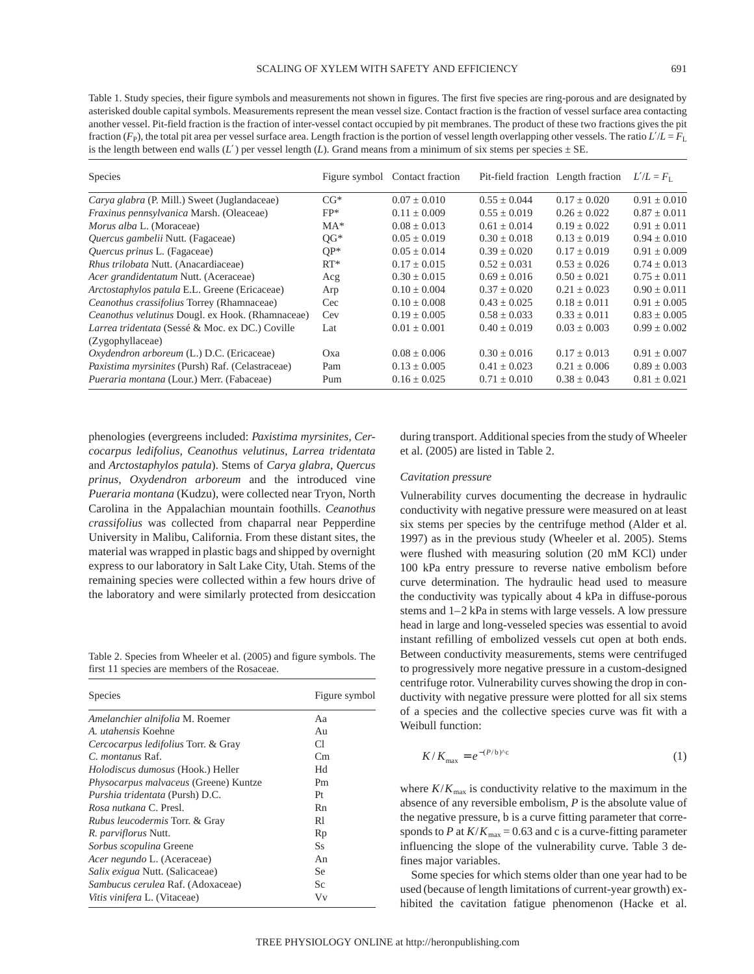Table 1. Study species, their figure symbols and measurements not shown in figures. The first five species are ring-porous and are designated by asterisked double capital symbols. Measurements represent the mean vessel size. Contact fraction is the fraction of vessel surface area contacting another vessel. Pit-field fraction is the fraction of inter-vessel contact occupied by pit membranes. The product of these two fractions gives the pit fraction  $(F<sub>P</sub>)$ , the total pit area per vessel surface area. Length fraction is the portion of vessel length overlapping other vessels. The ratio  $L'/L = F<sub>L</sub>$ is the length between end walls  $(L')$  per vessel length  $(L)$ . Grand means from a minimum of six stems per species  $\pm$  SE.

| <b>Species</b>                                          |        | Figure symbol Contact fraction | Pit-field fraction Length fraction |                  | $L'/L = F_{\rm L}$ |
|---------------------------------------------------------|--------|--------------------------------|------------------------------------|------------------|--------------------|
| Carya glabra (P. Mill.) Sweet (Juglandaceae)            | $CG*$  | $0.07 + 0.010$                 | $0.55 + 0.044$                     | $0.17 + 0.020$   | $0.91 + 0.010$     |
| <i>Fraxinus pennsylvanica Marsh. (Oleaceae)</i>         | $FP*$  | $0.11 \pm 0.009$               | $0.55 + 0.019$                     | $0.26 + 0.022$   | $0.87 + 0.011$     |
| <i>Morus alba</i> L. (Moraceae)                         | $MA*$  | $0.08 \pm 0.013$               | $0.61 + 0.014$                     | $0.19 \pm 0.022$ | $0.91 \pm 0.011$   |
| Quercus gambelii Nutt. (Fagaceae)                       | $OG*$  | $0.05 + 0.019$                 | $0.30 \pm 0.018$                   | $0.13 + 0.019$   | $0.94 \pm 0.010$   |
| <i>Ouercus prinus</i> L. (Fagaceae)                     | $OP*$  | $0.05 \pm 0.014$               | $0.39 + 0.020$                     | $0.17 + 0.019$   | $0.91 \pm 0.009$   |
| <i>Rhus trilobata Nutt.</i> (Anacardiaceae)             | $RT^*$ | $0.17 + 0.015$                 | $0.52 + 0.031$                     | $0.53 + 0.026$   | $0.74 \pm 0.013$   |
| Acer grandidentatum Nutt. (Aceraceae)                   | Acg    | $0.30 + 0.015$                 | $0.69 + 0.016$                     | $0.50 + 0.021$   | $0.75 \pm 0.011$   |
| Arctostaphylos patula E.L. Greene (Ericaceae)           | Arp    | $0.10 + 0.004$                 | $0.37 \pm 0.020$                   | $0.21 + 0.023$   | $0.90 \pm 0.011$   |
| Ceanothus crassifolius Torrey (Rhamnaceae)              | Cec    | $0.10 \pm 0.008$               | $0.43 + 0.025$                     | $0.18 + 0.011$   | $0.91 \pm 0.005$   |
| Ceanothus velutinus Dougl. ex Hook. (Rhamnaceae)        | Cev    | $0.19 \pm 0.005$               | $0.58 + 0.033$                     | $0.33 + 0.011$   | $0.83 \pm 0.005$   |
| Larrea tridentata (Sessé & Moc. ex DC.) Coville         | Lat    | $0.01 \pm 0.001$               | $0.40 + 0.019$                     | $0.03 + 0.003$   | $0.99 + 0.002$     |
| (Zygophyllaceae)                                        |        |                                |                                    |                  |                    |
| Oxydendron arboreum (L.) D.C. (Ericaceae)               | Oxa    | $0.08 + 0.006$                 | $0.30 + 0.016$                     | $0.17 + 0.013$   | $0.91 + 0.007$     |
| <i>Paxistima myrsinites</i> (Pursh) Raf. (Celastraceae) | Pam    | $0.13 + 0.005$                 | $0.41 \pm 0.023$                   | $0.21 + 0.006$   | $0.89 + 0.003$     |
| Pueraria montana (Lour.) Merr. (Fabaceae)               | Pum    | $0.16 \pm 0.025$               | $0.71 \pm 0.010$                   | $0.38 \pm 0.043$ | $0.81 \pm 0.021$   |

phenologies (evergreens included: *Paxistima myrsinites, Cercocarpus ledifolius, Ceanothus velutinus, Larrea tridentata* and *Arctostaphylos patula*). Stems of *Carya glabra*, *Quercus prinus*, *Oxydendron arboreum* and the introduced vine *Pueraria montana* (Kudzu), were collected near Tryon, North Carolina in the Appalachian mountain foothills. *Ceanothus crassifolius* was collected from chaparral near Pepperdine University in Malibu, California. From these distant sites, the material was wrapped in plastic bags and shipped by overnight express to our laboratory in Salt Lake City, Utah. Stems of the remaining species were collected within a few hours drive of the laboratory and were similarly protected from desiccation

Table 2. Species from Wheeler et al. (2005) and figure symbols. The first 11 species are members of the Rosaceae.

| Species                                      | Figure symbol   |
|----------------------------------------------|-----------------|
| Amelanchier alnifolia M. Roemer              | Aa              |
| A. <i>utahensis</i> Koehne                   | Au              |
| Cercocarpus ledifolius Torr. & Gray          | $\mathcal{C}^1$ |
| C. montanus Raf.                             | Cm              |
| <i>Holodiscus dumosus</i> (Hook.) Heller     | Hd              |
| <i>Physocarpus malvaceus</i> (Greene) Kuntze | Pm              |
| <i>Purshia tridentata</i> (Pursh) D.C.       | Pt              |
| <i>Rosa nutkana C. Presl.</i>                | Rn              |
| Rubus leucodermis Torr. & Gray               | R1              |
| <i>R. parviflorus</i> Nutt.                  | Rp              |
| Sorbus scopulina Greene                      | Ss              |
| Acer negundo L. (Aceraceae)                  | An              |
| <i>Salix exigua</i> Nutt. (Salicaceae)       | Se.             |
| Sambucus cerulea Raf. (Adoxaceae)            | Sc              |
| Vitis vinifera L. (Vitaceae)                 | Vv              |

during transport. Additional species from the study of Wheeler et al. (2005) are listed in Table 2.

## *Cavitation pressure*

Vulnerability curves documenting the decrease in hydraulic conductivity with negative pressure were measured on at least six stems per species by the centrifuge method (Alder et al. 1997) as in the previous study (Wheeler et al. 2005). Stems were flushed with measuring solution (20 mM KCl) under 100 kPa entry pressure to reverse native embolism before curve determination. The hydraulic head used to measure the conductivity was typically about 4 kPa in diffuse-porous stems and 1–2 kPa in stems with large vessels. A low pressure head in large and long-vesseled species was essential to avoid instant refilling of embolized vessels cut open at both ends. Between conductivity measurements, stems were centrifuged to progressively more negative pressure in a custom-designed centrifuge rotor. Vulnerability curves showing the drop in conductivity with negative pressure were plotted for all six stems of a species and the collective species curve was fit with a Weibull function:

$$
K/K_{\text{max}} = e^{-(P/b)^{c}} \tag{1}
$$

where  $K/K_{\text{max}}$  is conductivity relative to the maximum in the absence of any reversible embolism, *P* is the absolute value of the negative pressure, b is a curve fitting parameter that corresponds to *P* at  $K/K_{\text{max}} = 0.63$  and c is a curve-fitting parameter influencing the slope of the vulnerability curve. Table 3 defines major variables.

Some species for which stems older than one year had to be used (because of length limitations of current-year growth) exhibited the cavitation fatigue phenomenon (Hacke et al.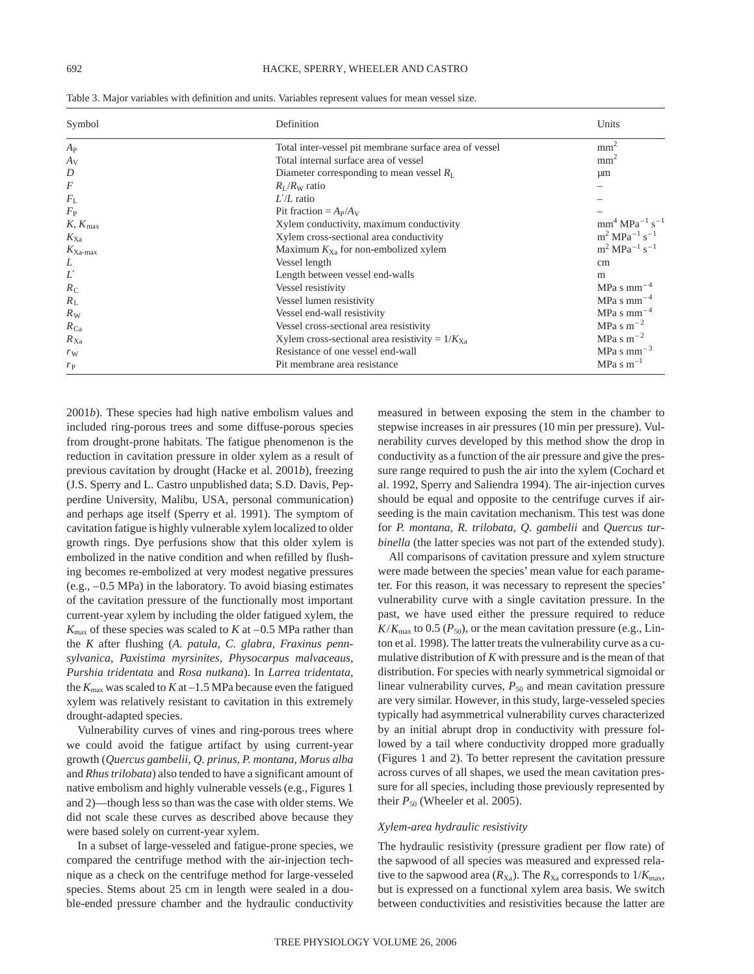| Symbol              | Definition                                                 | Units                                               |
|---------------------|------------------------------------------------------------|-----------------------------------------------------|
| $A_{\rm P}$         | Total inter-vessel pit membrane surface area of vessel     | mm <sup>2</sup>                                     |
| $A_V$               | Total internal surface area of vessel                      | mm <sup>2</sup>                                     |
| D                   | Diameter corresponding to mean vessel $R_L$                | μm                                                  |
| F                   | $R_{\rm I}/R_{\rm W}$ ratio                                |                                                     |
| $F_{\rm L}$         | $L'/L$ ratio                                               |                                                     |
| $F_{\rm P}$         | Pit fraction = $A_P/A_V$                                   |                                                     |
| $K, K_{\text{max}}$ | Xylem conductivity, maximum conductivity                   | $\mathrm{mm}^4\,\mathrm{MPa^{-1}}\,\mathrm{s}^{-1}$ |
| $K_{\text{Xa}}$     | Xylem cross-sectional area conductivity                    | $m^2 MPa^{-1} s^{-1}$                               |
| $K_{\text{Xa-max}}$ | Maximum $K_{Xa}$ for non-embolized xylem                   | $m^2 MPa^{-1} s^{-1}$                               |
| L                   | Vessel length                                              | cm                                                  |
| Ľ                   | Length between vessel end-walls                            | m                                                   |
| $R_{\rm C}$         | Vessel resistivity                                         | $MPa s mm-4$                                        |
| $R_{\rm L}$         | Vessel lumen resistivity                                   | $MPa s mm-4$                                        |
| $R_{\rm W}$         | Vessel end-wall resistivity                                | $MPa s mm-4$                                        |
| $R_{\text{Ca}}$     | Vessel cross-sectional area resistivity                    | $MPa s m-2$                                         |
| $R_{Xa}$            | Xylem cross-sectional area resistivity = $1/K_{\text{Xa}}$ | $MPa s m-2$                                         |
| $r_{\rm W}$         | Resistance of one vessel end-wall                          | MPa s mm <sup><math>-3</math></sup>                 |
| $r_{\rm P}$         | Pit membrane area resistance                               | $MPa s m^{-1}$                                      |

Table 3. Major variables with definition and units. Variables represent values for mean vessel size.

2001*b*). These species had high native embolism values and included ring-porous trees and some diffuse-porous species from drought-prone habitats. The fatigue phenomenon is the reduction in cavitation pressure in older xylem as a result of previous cavitation by drought (Hacke et al. 2001*b*), freezing (J.S. Sperry and L. Castro unpublished data; S.D. Davis, Pepperdine University, Malibu, USA, personal communication) and perhaps age itself (Sperry et al. 1991). The symptom of cavitation fatigue is highly vulnerable xylem localized to older growth rings. Dye perfusions show that this older xylem is embolized in the native condition and when refilled by flushing becomes re-embolized at very modest negative pressures (e.g., –0.5 MPa) in the laboratory. To avoid biasing estimates of the cavitation pressure of the functionally most important current-year xylem by including the older fatigued xylem, the  $K_{\text{max}}$  of these species was scaled to *K* at  $-0.5$  MPa rather than the *K* after flushing (*A. patula*, *C. glabra, Fraxinus pennsylvanica*, *Paxistima myrsinites, Physocarpus malvaceaus, Purshia tridentata* and *Rosa nutkana*). In *Larrea tridentata*, the  $K_{\text{max}}$  was scaled to  $K$  at  $-1.5$  MPa because even the fatigued xylem was relatively resistant to cavitation in this extremely drought-adapted species.

Vulnerability curves of vines and ring-porous trees where we could avoid the fatigue artifact by using current-year growth (*Quercus gambelii, Q. prinus, P. montana, Morus alba* and *Rhus trilobata*) also tended to have a significant amount of native embolism and highly vulnerable vessels (e.g., Figures 1 and 2)—though less so than was the case with older stems. We did not scale these curves as described above because they were based solely on current-year xylem.

In a subset of large-vesseled and fatigue-prone species, we compared the centrifuge method with the air-injection technique as a check on the centrifuge method for large-vesseled species. Stems about 25 cm in length were sealed in a double-ended pressure chamber and the hydraulic conductivity

measured in between exposing the stem in the chamber to stepwise increases in air pressures (10 min per pressure). Vulnerability curves developed by this method show the drop in conductivity as a function of the air pressure and give the pressure range required to push the air into the xylem (Cochard et al. 1992, Sperry and Saliendra 1994). The air-injection curves should be equal and opposite to the centrifuge curves if airseeding is the main cavitation mechanism. This test was done for *P. montana*, *R. trilobata*, *Q. gambelii* and *Quercus turbinella* (the latter species was not part of the extended study).

All comparisons of cavitation pressure and xylem structure were made between the species' mean value for each parameter. For this reason, it was necessary to represent the species' vulnerability curve with a single cavitation pressure. In the past, we have used either the pressure required to reduce  $K/K_{\text{max}}$  to 0.5 ( $P_{50}$ ), or the mean cavitation pressure (e.g., Linton et al. 1998). The latter treats the vulnerability curve as a cumulative distribution of *K* with pressure and is the mean of that distribution. For species with nearly symmetrical sigmoidal or linear vulnerability curves,  $P_{50}$  and mean cavitation pressure are very similar. However, in this study, large-vesseled species typically had asymmetrical vulnerability curves characterized by an initial abrupt drop in conductivity with pressure followed by a tail where conductivity dropped more gradually (Figures 1 and 2). To better represent the cavitation pressure across curves of all shapes, we used the mean cavitation pressure for all species, including those previously represented by their  $P_{50}$  (Wheeler et al. 2005).

## *Xylem-area hydraulic resistivity*

The hydraulic resistivity (pressure gradient per flow rate) of the sapwood of all species was measured and expressed relative to the sapwood area  $(R_{Xa})$ . The  $R_{Xa}$  corresponds to  $1/K_{\text{max}}$ , but is expressed on a functional xylem area basis. We switch between conductivities and resistivities because the latter are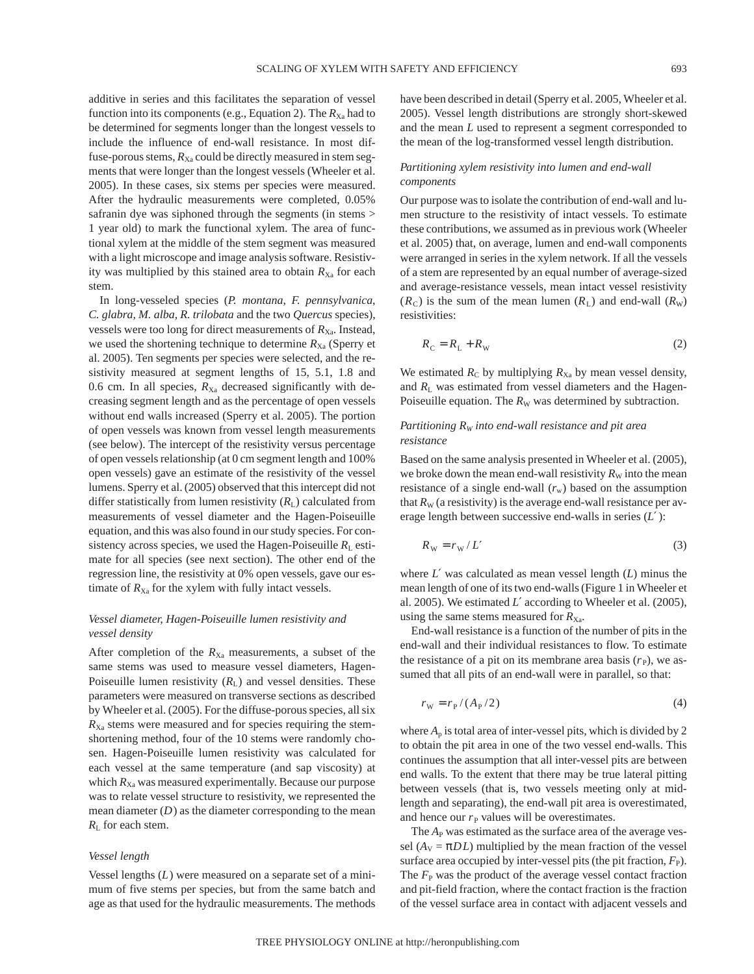additive in series and this facilitates the separation of vessel function into its components (e.g., Equation 2). The  $R_{Xa}$  had to be determined for segments longer than the longest vessels to include the influence of end-wall resistance. In most diffuse-porous stems,  $R_{Xa}$  could be directly measured in stem segments that were longer than the longest vessels (Wheeler et al. 2005). In these cases, six stems per species were measured. After the hydraulic measurements were completed, 0.05% safranin dye was siphoned through the segments (in stems > 1 year old) to mark the functional xylem. The area of functional xylem at the middle of the stem segment was measured with a light microscope and image analysis software. Resistivity was multiplied by this stained area to obtain  $R_{Xa}$  for each stem.

In long-vesseled species (*P. montana*, *F. pennsylvanica*, *C. glabra*, *M. alba*, *R. trilobata* and the two *Quercus* species), vessels were too long for direct measurements of  $R_{Xa}$ . Instead, we used the shortening technique to determine  $R_{Xa}$  (Sperry et al. 2005). Ten segments per species were selected, and the resistivity measured at segment lengths of 15, 5.1, 1.8 and 0.6 cm. In all species,  $R_{X_3}$  decreased significantly with decreasing segment length and as the percentage of open vessels without end walls increased (Sperry et al. 2005). The portion of open vessels was known from vessel length measurements (see below). The intercept of the resistivity versus percentage of open vessels relationship (at 0 cm segment length and 100% open vessels) gave an estimate of the resistivity of the vessel lumens. Sperry et al. (2005) observed that this intercept did not differ statistically from lumen resistivity  $(R_L)$  calculated from measurements of vessel diameter and the Hagen-Poiseuille equation, and this was also found in our study species. For consistency across species, we used the Hagen-Poiseuille  $R_L$  estimate for all species (see next section). The other end of the regression line, the resistivity at 0% open vessels, gave our estimate of  $R_{Xa}$  for the xylem with fully intact vessels.

## *Vessel diameter, Hagen-Poiseuille lumen resistivity and vessel density*

After completion of the  $R_{Xa}$  measurements, a subset of the same stems was used to measure vessel diameters, Hagen-Poiseuille lumen resistivity  $(R_L)$  and vessel densities. These parameters were measured on transverse sections as described by Wheeler et al. (2005). For the diffuse-porous species, all six  $R_{\text{Xa}}$  stems were measured and for species requiring the stemshortening method, four of the 10 stems were randomly chosen. Hagen-Poiseuille lumen resistivity was calculated for each vessel at the same temperature (and sap viscosity) at which  $R_{Xa}$  was measured experimentally. Because our purpose was to relate vessel structure to resistivity, we represented the mean diameter  $(D)$  as the diameter corresponding to the mean *R*<sup>L</sup> for each stem.

#### *Vessel length*

Vessel lengths (*L*) were measured on a separate set of a minimum of five stems per species, but from the same batch and age as that used for the hydraulic measurements. The methods have been described in detail (Sperry et al. 2005, Wheeler et al. 2005). Vessel length distributions are strongly short-skewed and the mean *L* used to represent a segment corresponded to the mean of the log-transformed vessel length distribution.

## *Partitioning xylem resistivity into lumen and end-wall components*

Our purpose was to isolate the contribution of end-wall and lumen structure to the resistivity of intact vessels. To estimate these contributions, we assumed as in previous work (Wheeler et al. 2005) that, on average, lumen and end-wall components were arranged in series in the xylem network. If all the vessels of a stem are represented by an equal number of average-sized and average-resistance vessels, mean intact vessel resistivity  $(R_C)$  is the sum of the mean lumen  $(R_L)$  and end-wall  $(R_W)$ resistivities:

$$
R_{\rm C} = R_{\rm L} + R_{\rm W} \tag{2}
$$

We estimated  $R_C$  by multiplying  $R_{Xa}$  by mean vessel density, and  $R_L$  was estimated from vessel diameters and the Hagen-Poiseuille equation. The  $R_W$  was determined by subtraction.

# *Partitioning R<sub>W</sub> into end-wall resistance and pit area resistance*

Based on the same analysis presented in Wheeler et al. (2005), we broke down the mean end-wall resistivity  $R_W$  into the mean resistance of a single end-wall  $(r_w)$  based on the assumption that  $R_W$  (a resistivity) is the average end-wall resistance per average length between successive end-walls in series (*L*′):

$$
R_{\rm W} = r_{\rm W}/L'
$$
 (3)

where *L*′ was calculated as mean vessel length (*L*) minus the mean length of one of its two end-walls (Figure 1 in Wheeler et al. 2005). We estimated *L*′ according to Wheeler et al. (2005), using the same stems measured for  $R_{X_a}$ .

End-wall resistance is a function of the number of pits in the end-wall and their individual resistances to flow. To estimate the resistance of a pit on its membrane area basis  $(r<sub>P</sub>)$ , we assumed that all pits of an end-wall were in parallel, so that:

$$
r_{\rm w} = r_{\rm p}/(A_{\rm p}/2) \tag{4}
$$

where  $A_p$  is total area of inter-vessel pits, which is divided by 2 to obtain the pit area in one of the two vessel end-walls. This continues the assumption that all inter-vessel pits are between end walls. To the extent that there may be true lateral pitting between vessels (that is, two vessels meeting only at midlength and separating), the end-wall pit area is overestimated, and hence our  $r_{\rm P}$  values will be overestimates.

The  $A_P$  was estimated as the surface area of the average vessel  $(A<sub>V</sub> = \pi DL)$  multiplied by the mean fraction of the vessel surface area occupied by inter-vessel pits (the pit fraction,  $F<sub>P</sub>$ ). The  $F_{\rm P}$  was the product of the average vessel contact fraction and pit-field fraction, where the contact fraction is the fraction of the vessel surface area in contact with adjacent vessels and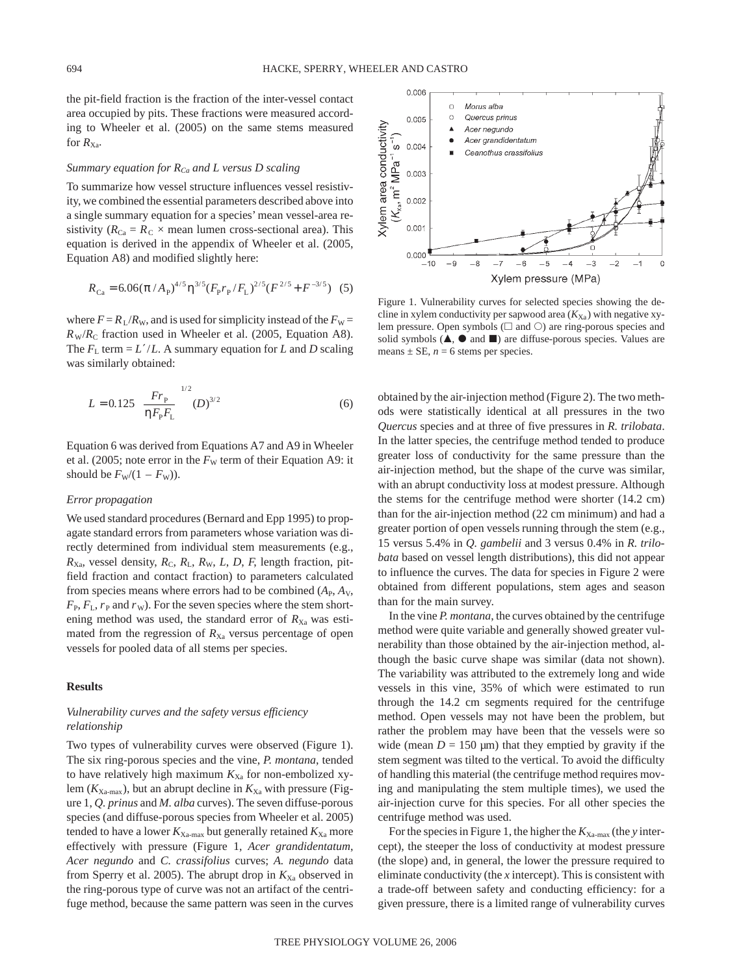the pit-field fraction is the fraction of the inter-vessel contact area occupied by pits. These fractions were measured according to Wheeler et al. (2005) on the same stems measured for  $R_{\text{Xa}}$ .

#### *Summary equation for R<sub>Ca</sub> and L versus D scaling*

To summarize how vessel structure influences vessel resistivity, we combined the essential parameters described above into a single summary equation for a species' mean vessel-area resistivity ( $R_{Ca} = R_C \times$  mean lumen cross-sectional area). This equation is derived in the appendix of Wheeler et al. (2005, Equation A8) and modified slightly here:

$$
R_{\text{Ca}} = 6.06(\pi / A_{\text{P}})^{4/5} \eta^{3/5} (F_{\text{P}} r_{\text{P}} / F_{\text{L}})^{2/5} (F^{2/5} + F^{-3/5}) \tag{5}
$$

where  $F = R_L/R_W$ , and is used for simplicity instead of the  $F_W =$  $R_{\rm W}/R_{\rm C}$  fraction used in Wheeler et al. (2005, Equation A8). The  $F_L$  term =  $L'/L$ . A summary equation for *L* and *D* scaling was similarly obtained:

$$
L = 0.125 \left( \frac{Fr_{\rm p}}{\eta F_{\rm p} F_{\rm L}} \right)^{1/2} (D)^{3/2} \tag{6}
$$

Equation 6 was derived from Equations A7 and A9 in Wheeler et al. (2005; note error in the  $F<sub>W</sub>$  term of their Equation A9: it should be  $F_{\text{W}}/(1 - F_{\text{W}})$ .

## *Error propagation*

We used standard procedures (Bernard and Epp 1995) to propagate standard errors from parameters whose variation was directly determined from individual stem measurements (e.g.,  $R_{\text{Xa}}$ , vessel density,  $R_{\text{C}}$ ,  $R_{\text{L}}$ ,  $R_{\text{W}}$ ,  $L$ ,  $D$ ,  $F$ , length fraction, pitfield fraction and contact fraction) to parameters calculated from species means where errors had to be combined  $(A_{P}, A_{V}, A_{V})$  $F_{\rm P}$ ,  $F_{\rm L}$ ,  $r_{\rm P}$  and  $r_{\rm W}$ ). For the seven species where the stem shortening method was used, the standard error of  $R_{Xa}$  was estimated from the regression of  $R_{Xa}$  versus percentage of open vessels for pooled data of all stems per species.

#### **Results**

## *Vulnerability curves and the safety versus efficiency relationship*

Two types of vulnerability curves were observed (Figure 1). The six ring-porous species and the vine, *P. montana*, tended to have relatively high maximum  $K_{Xa}$  for non-embolized xylem  $(K_{\text{Xa-max}})$ , but an abrupt decline in  $K_{\text{Xa}}$  with pressure (Figure 1, *Q. prinus* and *M. alba* curves). The seven diffuse-porous species (and diffuse-porous species from Wheeler et al. 2005) tended to have a lower  $K_{\text{Xa-max}}$  but generally retained  $K_{\text{Xa}}$  more effectively with pressure (Figure 1, *Acer grandidentatum*, *Acer negundo* and *C. crassifolius* curves; *A. negundo* data from Sperry et al. 2005). The abrupt drop in  $K_{Xa}$  observed in the ring-porous type of curve was not an artifact of the centrifuge method, because the same pattern was seen in the curves



Figure 1. Vulnerability curves for selected species showing the decline in xylem conductivity per sapwood area  $(K_{Xa})$  with negative xylem pressure. Open symbols  $(\square$  and  $\bigcirc$ ) are ring-porous species and solid symbols  $(\triangle, \,\bullet\,$  and  $\blacksquare)$  are diffuse-porous species. Values are means  $\pm$  SE,  $n = 6$  stems per species.

obtained by the air-injection method (Figure 2). The two methods were statistically identical at all pressures in the two *Quercus* species and at three of five pressures in *R. trilobata*. In the latter species, the centrifuge method tended to produce greater loss of conductivity for the same pressure than the air-injection method, but the shape of the curve was similar, with an abrupt conductivity loss at modest pressure. Although the stems for the centrifuge method were shorter (14.2 cm) than for the air-injection method (22 cm minimum) and had a greater portion of open vessels running through the stem (e.g., 15 versus 5.4% in *Q. gambelii* and 3 versus 0.4% in *R. trilobata* based on vessel length distributions), this did not appear to influence the curves. The data for species in Figure 2 were obtained from different populations, stem ages and season than for the main survey.

In the vine *P. montana*, the curves obtained by the centrifuge method were quite variable and generally showed greater vulnerability than those obtained by the air-injection method, although the basic curve shape was similar (data not shown). The variability was attributed to the extremely long and wide vessels in this vine, 35% of which were estimated to run through the 14.2 cm segments required for the centrifuge method. Open vessels may not have been the problem, but rather the problem may have been that the vessels were so wide (mean  $D = 150 \text{ }\mu\text{m}$ ) that they emptied by gravity if the stem segment was tilted to the vertical. To avoid the difficulty of handling this material (the centrifuge method requires moving and manipulating the stem multiple times), we used the air-injection curve for this species. For all other species the centrifuge method was used.

For the species in Figure 1, the higher the  $K_{\text{Xa-max}}$  (the *y* intercept), the steeper the loss of conductivity at modest pressure (the slope) and, in general, the lower the pressure required to eliminate conductivity (the *x* intercept). This is consistent with a trade-off between safety and conducting efficiency: for a given pressure, there is a limited range of vulnerability curves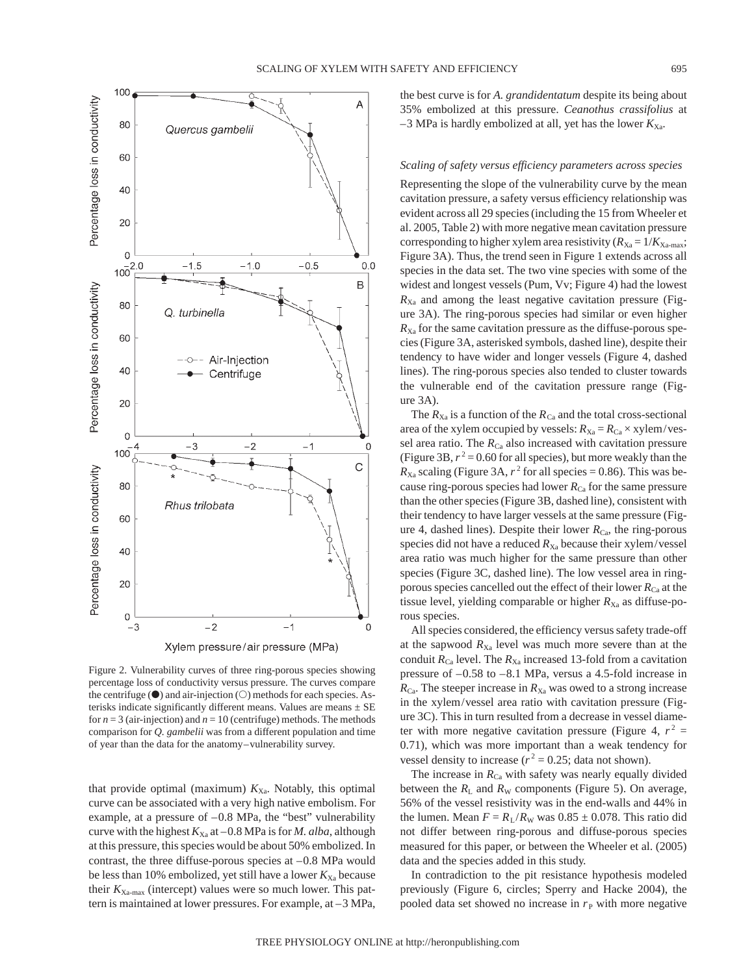

Figure 2. Vulnerability curves of three ring-porous species showing percentage loss of conductivity versus pressure. The curves compare the centrifuge  $(\bullet)$  and air-injection  $(\circ)$  methods for each species. Asterisks indicate significantly different means. Values are means  $\pm$  SE for  $n = 3$  (air-injection) and  $n = 10$  (centrifuge) methods. The methods comparison for *Q. gambelii* was from a different population and time of year than the data for the anatomy–vulnerability survey.

that provide optimal (maximum)  $K_{Xa}$ . Notably, this optimal curve can be associated with a very high native embolism. For example, at a pressure of –0.8 MPa, the "best" vulnerability curve with the highest  $K_{Xa}$  at  $-0.8$  MPa is for *M. alba*, although at this pressure, this species would be about 50% embolized. In contrast, the three diffuse-porous species at –0.8 MPa would be less than 10% embolized, yet still have a lower  $K_{Xa}$  because their  $K_{\text{Xa-max}}$  (intercept) values were so much lower. This pattern is maintained at lower pressures. For example, at –3 MPa,

the best curve is for *A. grandidentatum* despite its being about 35% embolized at this pressure. *Ceanothus crassifolius* at  $-3$  MPa is hardly embolized at all, yet has the lower  $K_{Xa}$ .

#### *Scaling of safety versus efficiency parameters across species*

Representing the slope of the vulnerability curve by the mean cavitation pressure, a safety versus efficiency relationship was evident across all 29 species (including the 15 from Wheeler et al. 2005, Table 2) with more negative mean cavitation pressure corresponding to higher xylem area resistivity  $(R_{\text{Xa}} = 1/K_{\text{Xa-max}};$ Figure 3A). Thus, the trend seen in Figure 1 extends across all species in the data set. The two vine species with some of the widest and longest vessels (Pum, Vv; Figure 4) had the lowest  $R_{Xa}$  and among the least negative cavitation pressure (Figure 3A). The ring-porous species had similar or even higher  $R_{\text{Xa}}$  for the same cavitation pressure as the diffuse-porous species (Figure 3A, asterisked symbols, dashed line), despite their tendency to have wider and longer vessels (Figure 4, dashed lines). The ring-porous species also tended to cluster towards the vulnerable end of the cavitation pressure range (Figure 3A).

The  $R_{X_3}$  is a function of the  $R_{C_3}$  and the total cross-sectional area of the xylem occupied by vessels:  $R_{Xa} = R_{Ca} \times xy$ lem/vessel area ratio. The  $R_{Ca}$  also increased with cavitation pressure (Figure 3B,  $r^2$  = 0.60 for all species), but more weakly than the  $R_{\text{Xa}}$  scaling (Figure 3A,  $r^2$  for all species = 0.86). This was because ring-porous species had lower  $R_{Ca}$  for the same pressure than the other species (Figure 3B, dashed line), consistent with their tendency to have larger vessels at the same pressure (Figure 4, dashed lines). Despite their lower  $R_{Ca}$ , the ring-porous species did not have a reduced  $R_{Xa}$  because their xylem/vessel area ratio was much higher for the same pressure than other species (Figure 3C, dashed line). The low vessel area in ringporous species cancelled out the effect of their lower  $R_{Ca}$  at the tissue level, yielding comparable or higher  $R_{Xa}$  as diffuse-porous species.

All species considered, the efficiency versus safety trade-off at the sapwood  $R_{Xa}$  level was much more severe than at the conduit  $R_{Ca}$  level. The  $R_{Xa}$  increased 13-fold from a cavitation pressure of –0.58 to –8.1 MPa, versus a 4.5-fold increase in  $R_{\text{Ca}}$ . The steeper increase in  $R_{\text{Xa}}$  was owed to a strong increase in the xylem/vessel area ratio with cavitation pressure (Figure 3C). This in turn resulted from a decrease in vessel diameter with more negative cavitation pressure (Figure 4,  $r^2$  = 0.71), which was more important than a weak tendency for vessel density to increase  $(r^2 = 0.25$ ; data not shown).

The increase in  $R_{Ca}$  with safety was nearly equally divided between the  $R_L$  and  $R_W$  components (Figure 5). On average, 56% of the vessel resistivity was in the end-walls and 44% in the lumen. Mean  $F = R_L/R_W$  was  $0.85 \pm 0.078$ . This ratio did not differ between ring-porous and diffuse-porous species measured for this paper, or between the Wheeler et al. (2005) data and the species added in this study.

In contradiction to the pit resistance hypothesis modeled previously (Figure 6, circles; Sperry and Hacke 2004), the pooled data set showed no increase in  $r<sub>P</sub>$  with more negative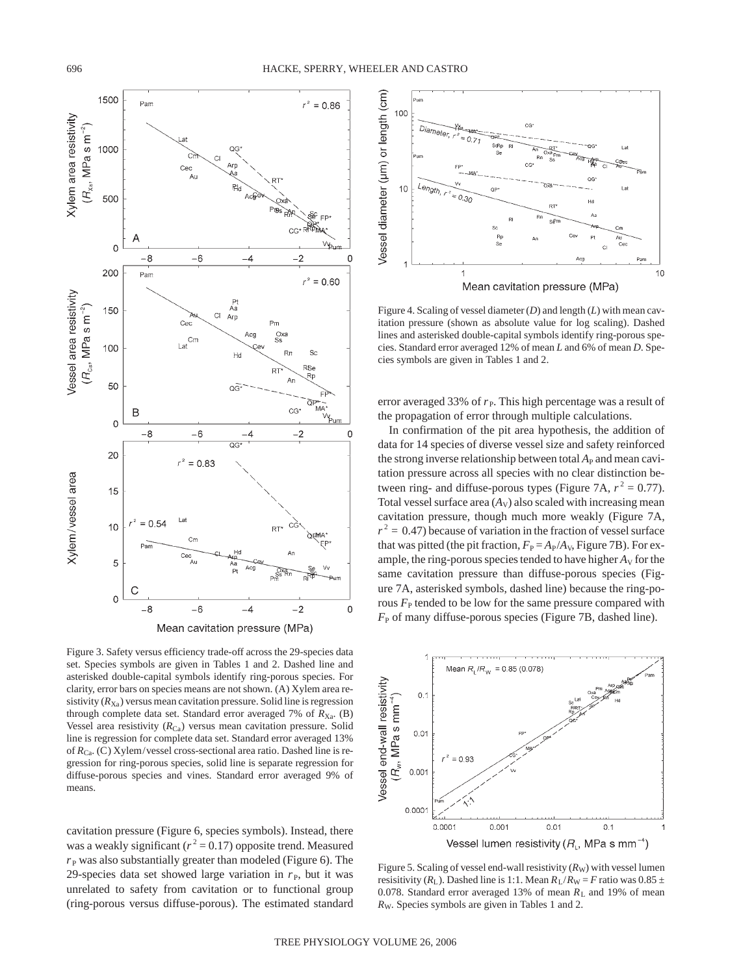

Figure 3. Safety versus efficiency trade-off across the 29-species data set. Species symbols are given in Tables 1 and 2. Dashed line and asterisked double-capital symbols identify ring-porous species. For clarity, error bars on species means are not shown. (A) Xylem area resistivity  $(R_{Xa})$  versus mean cavitation pressure. Solid line is regression through complete data set. Standard error averaged 7% of  $R_{Xa}$ . (B) Vessel area resistivity  $(R_{Ca})$  versus mean cavitation pressure. Solid line is regression for complete data set. Standard error averaged 13% of  $R_{\text{Ca}}$ . (C) Xylem/vessel cross-sectional area ratio. Dashed line is regression for ring-porous species, solid line is separate regression for diffuse-porous species and vines. Standard error averaged 9% of means.

cavitation pressure (Figure 6, species symbols). Instead, there was a weakly significant ( $r^2$  = 0.17) opposite trend. Measured  $r_{\rm P}$  was also substantially greater than modeled (Figure 6). The 29-species data set showed large variation in  $r<sub>P</sub>$ , but it was unrelated to safety from cavitation or to functional group (ring-porous versus diffuse-porous). The estimated standard



Figure 4. Scaling of vessel diameter (*D*) and length (*L*) with mean cavitation pressure (shown as absolute value for log scaling). Dashed lines and asterisked double-capital symbols identify ring-porous species. Standard error averaged 12% of mean *L* and 6% of mean *D*. Species symbols are given in Tables 1 and 2.

error averaged 33% of  $r<sub>P</sub>$ . This high percentage was a result of the propagation of error through multiple calculations.

In confirmation of the pit area hypothesis, the addition of data for 14 species of diverse vessel size and safety reinforced the strong inverse relationship between total  $A<sub>P</sub>$  and mean cavitation pressure across all species with no clear distinction between ring- and diffuse-porous types (Figure 7A,  $r^2 = 0.77$ ). Total vessel surface area  $(A_V)$  also scaled with increasing mean cavitation pressure, though much more weakly (Figure 7A,  $r^2 = 0.47$ ) because of variation in the fraction of vessel surface that was pitted (the pit fraction,  $F_P = A_P/A_V$ , Figure 7B). For example, the ring-porous species tended to have higher  $A_V$  for the same cavitation pressure than diffuse-porous species (Figure 7A, asterisked symbols, dashed line) because the ring-porous  $F<sub>P</sub>$  tended to be low for the same pressure compared with  $F<sub>P</sub>$  of many diffuse-porous species (Figure 7B, dashed line).



Figure 5. Scaling of vessel end-wall resistivity  $(R_W)$  with vessel lumen resisitivity ( $R_L$ ). Dashed line is 1:1. Mean  $R_L/R_W = F$  ratio was 0.85  $\pm$ 0.078. Standard error averaged 13% of mean  $R<sub>L</sub>$  and 19% of mean *R*W. Species symbols are given in Tables 1 and 2.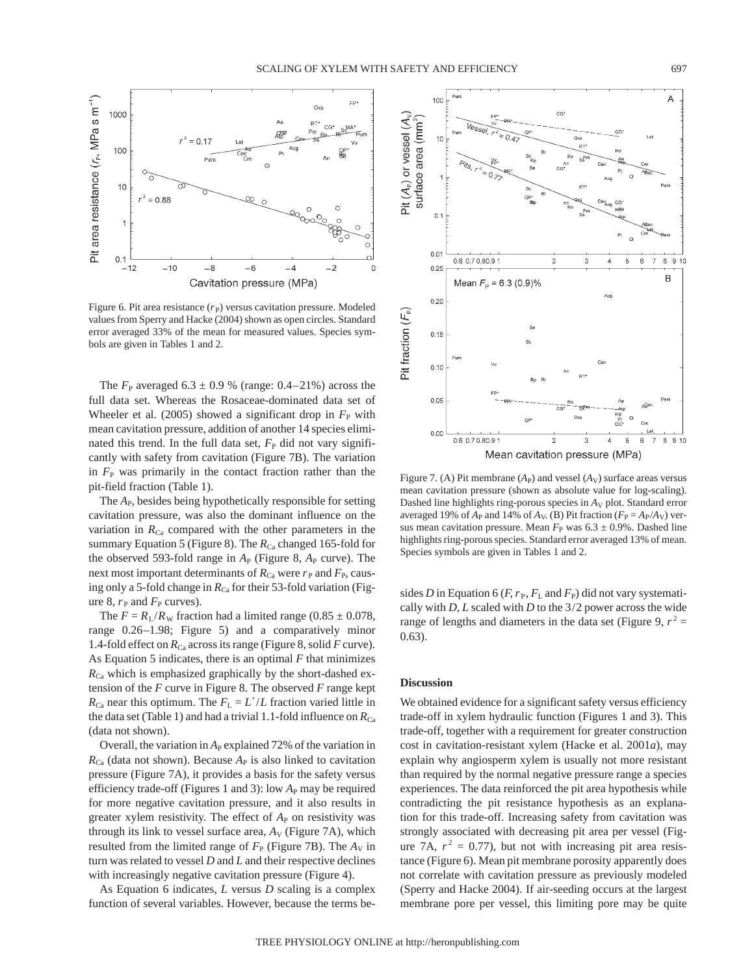

Figure 6. Pit area resistance  $(r<sub>P</sub>)$  versus cavitation pressure. Modeled values from Sperry and Hacke (2004) shown as open circles. Standard error averaged 33% of the mean for measured values. Species symbols are given in Tables 1 and 2.

The  $F_P$  averaged 6.3  $\pm$  0.9 % (range: 0.4–21%) across the full data set. Whereas the Rosaceae-dominated data set of Wheeler et al. (2005) showed a significant drop in  $F<sub>P</sub>$  with mean cavitation pressure, addition of another 14 species eliminated this trend. In the full data set,  $F<sub>P</sub>$  did not vary significantly with safety from cavitation (Figure 7B). The variation in  $F<sub>P</sub>$  was primarily in the contact fraction rather than the pit-field fraction (Table 1).

The  $A<sub>P</sub>$ , besides being hypothetically responsible for setting cavitation pressure, was also the dominant influence on the variation in  $R_{Ca}$  compared with the other parameters in the summary Equation 5 (Figure 8). The  $R_{Ca}$  changed 165-fold for the observed 593-fold range in  $A_P$  (Figure 8,  $A_P$  curve). The next most important determinants of  $R_{Ca}$  were  $r_{P}$  and  $F_{P}$ , causing only a 5-fold change in  $R_{Ca}$  for their 53-fold variation (Figure 8,  $r_{\rm P}$  and  $F_{\rm P}$  curves).

The  $F = R_L/R_W$  fraction had a limited range (0.85  $\pm$  0.078, range 0.26–1.98; Figure 5) and a comparatively minor 1.4-fold effect on  $R_{Ca}$  across its range (Figure 8, solid *F* curve). As Equation 5 indicates, there is an optimal *F* that minimizes  $R_{Ca}$  which is emphasized graphically by the short-dashed extension of the *F* curve in Figure 8. The observed *F* range kept  $R_{\text{Ca}}$  near this optimum. The  $F_{\text{L}} = L'/L$  fraction varied little in the data set (Table 1) and had a trivial 1.1-fold influence on  $R_{Ca}$ (data not shown).

Overall, the variation in  $A_P$  explained 72% of the variation in  $R_{Ca}$  (data not shown). Because  $A_{P}$  is also linked to cavitation pressure (Figure 7A), it provides a basis for the safety versus efficiency trade-off (Figures 1 and 3): low  $A<sub>P</sub>$  may be required for more negative cavitation pressure, and it also results in greater xylem resistivity. The effect of  $A<sub>P</sub>$  on resistivity was through its link to vessel surface area,  $A_V$  (Figure 7A), which resulted from the limited range of  $F<sub>P</sub>$  (Figure 7B). The  $A<sub>V</sub>$  in turn was related to vessel *D* and *L* and their respective declines with increasingly negative cavitation pressure (Figure 4).

As Equation 6 indicates, *L* versus *D* scaling is a complex function of several variables. However, because the terms be-



Figure 7. (A) Pit membrane  $(A_P)$  and vessel  $(A_V)$  surface areas versus mean cavitation pressure (shown as absolute value for log-scaling). Dashed line highlights ring-porous species in  $A_V$  plot. Standard error averaged 19% of  $A_P$  and 14% of  $A_V$ . (B) Pit fraction ( $F_P = A_P/A_V$ ) versus mean cavitation pressure. Mean  $F_P$  was  $6.3 \pm 0.9$ %. Dashed line highlights ring-porous species. Standard error averaged 13% of mean. Species symbols are given in Tables 1 and 2.

sides *D* in Equation 6 (*F*,  $r_{P}$ ,  $F_{L}$  and  $F_{P}$ ) did not vary systematically with *D*, *L* scaled with *D* to the 3/2 power across the wide range of lengths and diameters in the data set (Figure 9,  $r^2$  = 0.63).

# **Discussion**

We obtained evidence for a significant safety versus efficiency trade-off in xylem hydraulic function (Figures 1 and 3). This trade-off, together with a requirement for greater construction cost in cavitation-resistant xylem (Hacke et al. 2001*a*), may explain why angiosperm xylem is usually not more resistant than required by the normal negative pressure range a species experiences. The data reinforced the pit area hypothesis while contradicting the pit resistance hypothesis as an explanation for this trade-off. Increasing safety from cavitation was strongly associated with decreasing pit area per vessel (Figure 7A,  $r^2 = 0.77$ ), but not with increasing pit area resistance (Figure 6). Mean pit membrane porosity apparently does not correlate with cavitation pressure as previously modeled (Sperry and Hacke 2004). If air-seeding occurs at the largest membrane pore per vessel, this limiting pore may be quite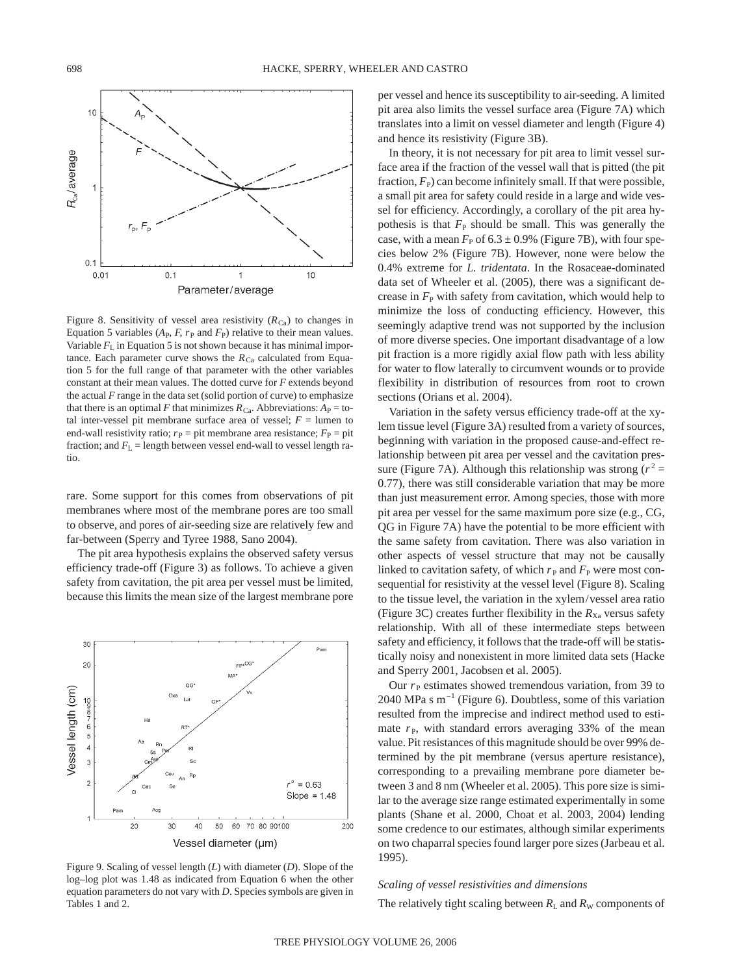

Figure 8. Sensitivity of vessel area resistivity  $(R<sub>Ca</sub>)$  to changes in Equation 5 variables  $(A_P, F, r_P \text{ and } F_P)$  relative to their mean values. Variable *F*<sup>L</sup> in Equation 5 is not shown because it has minimal importance. Each parameter curve shows the  $R_{Ca}$  calculated from Equation 5 for the full range of that parameter with the other variables constant at their mean values. The dotted curve for *F* extends beyond the actual  $F$  range in the data set (solid portion of curve) to emphasize that there is an optimal *F* that minimizes  $R_{Ca}$ . Abbreviations:  $A_{P} =$  total inter-vessel pit membrane surface area of vessel;  $F =$  lumen to end-wall resistivity ratio;  $r_P = \text{pit membrane area resistance}$ ;  $F_P = \text{pit}$ fraction; and  $F<sub>L</sub>$  = length between vessel end-wall to vessel length ratio.

rare. Some support for this comes from observations of pit membranes where most of the membrane pores are too small to observe, and pores of air-seeding size are relatively few and far-between (Sperry and Tyree 1988, Sano 2004).

The pit area hypothesis explains the observed safety versus efficiency trade-off (Figure 3) as follows. To achieve a given safety from cavitation, the pit area per vessel must be limited, because this limits the mean size of the largest membrane pore



Figure 9. Scaling of vessel length (*L*) with diameter (*D*). Slope of the log–log plot was 1.48 as indicated from Equation 6 when the other equation parameters do not vary with *D*. Species symbols are given in Tables 1 and 2.

per vessel and hence its susceptibility to air-seeding. A limited pit area also limits the vessel surface area (Figure 7A) which translates into a limit on vessel diameter and length (Figure 4) and hence its resistivity (Figure 3B).

In theory, it is not necessary for pit area to limit vessel surface area if the fraction of the vessel wall that is pitted (the pit fraction,  $F_P$ ) can become infinitely small. If that were possible, a small pit area for safety could reside in a large and wide vessel for efficiency. Accordingly, a corollary of the pit area hypothesis is that  $F_P$  should be small. This was generally the case, with a mean  $F_P$  of  $6.3 \pm 0.9\%$  (Figure 7B), with four species below 2% (Figure 7B). However, none were below the 0.4% extreme for *L. tridentata*. In the Rosaceae-dominated data set of Wheeler et al. (2005), there was a significant decrease in  $F<sub>P</sub>$  with safety from cavitation, which would help to minimize the loss of conducting efficiency. However, this seemingly adaptive trend was not supported by the inclusion of more diverse species. One important disadvantage of a low pit fraction is a more rigidly axial flow path with less ability for water to flow laterally to circumvent wounds or to provide flexibility in distribution of resources from root to crown sections (Orians et al. 2004).

Variation in the safety versus efficiency trade-off at the xylem tissue level (Figure 3A) resulted from a variety of sources, beginning with variation in the proposed cause-and-effect relationship between pit area per vessel and the cavitation pressure (Figure 7A). Although this relationship was strong  $(r^2 =$ 0.77), there was still considerable variation that may be more than just measurement error. Among species, those with more pit area per vessel for the same maximum pore size (e.g., CG, QG in Figure 7A) have the potential to be more efficient with the same safety from cavitation. There was also variation in other aspects of vessel structure that may not be causally linked to cavitation safety, of which  $r_{\rm P}$  and  $F_{\rm P}$  were most consequential for resistivity at the vessel level (Figure 8). Scaling to the tissue level, the variation in the xylem/vessel area ratio (Figure 3C) creates further flexibility in the  $R_{Xa}$  versus safety relationship. With all of these intermediate steps between safety and efficiency, it follows that the trade-off will be statistically noisy and nonexistent in more limited data sets (Hacke and Sperry 2001, Jacobsen et al. 2005).

Our  $r<sub>P</sub>$  estimates showed tremendous variation, from 39 to 2040 MPa s  $m^{-1}$  (Figure 6). Doubtless, some of this variation resulted from the imprecise and indirect method used to estimate  $r_{\rm P}$ , with standard errors averaging 33% of the mean value. Pit resistances of this magnitude should be over 99% determined by the pit membrane (versus aperture resistance), corresponding to a prevailing membrane pore diameter between 3 and 8 nm (Wheeler et al. 2005). This pore size is similar to the average size range estimated experimentally in some plants (Shane et al. 2000, Choat et al. 2003, 2004) lending some credence to our estimates, although similar experiments on two chaparral species found larger pore sizes (Jarbeau et al. 1995).

#### *Scaling of vessel resistivities and dimensions*

The relatively tight scaling between  $R_L$  and  $R_W$  components of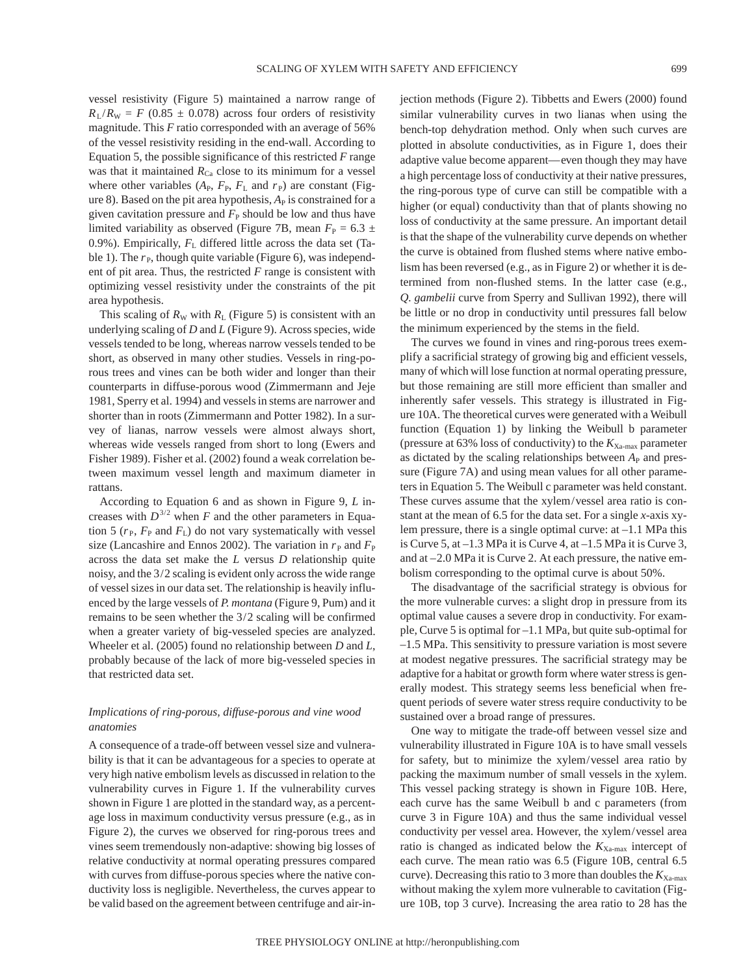vessel resistivity (Figure 5) maintained a narrow range of  $R_{\text{L}}/R_{\text{W}} = F (0.85 \pm 0.078)$  across four orders of resistivity magnitude. This *F* ratio corresponded with an average of 56% of the vessel resistivity residing in the end-wall. According to Equation 5, the possible significance of this restricted *F* range was that it maintained  $R_{Ca}$  close to its minimum for a vessel where other variables  $(A_P, F_P, F_L$  and  $r_P$ ) are constant (Figure 8). Based on the pit area hypothesis,  $A<sub>P</sub>$  is constrained for a given cavitation pressure and  $F<sub>P</sub>$  should be low and thus have limited variability as observed (Figure 7B, mean  $F_{\rm P} = 6.3 \pm 1$ 0.9%). Empirically,  $F<sub>L</sub>$  differed little across the data set (Table 1). The  $r<sub>P</sub>$ , though quite variable (Figure 6), was independent of pit area. Thus, the restricted *F* range is consistent with optimizing vessel resistivity under the constraints of the pit area hypothesis.

This scaling of  $R_W$  with  $R_L$  (Figure 5) is consistent with an underlying scaling of *D* and *L* (Figure 9). Across species, wide vessels tended to be long, whereas narrow vessels tended to be short, as observed in many other studies. Vessels in ring-porous trees and vines can be both wider and longer than their counterparts in diffuse-porous wood (Zimmermann and Jeje 1981, Sperry et al. 1994) and vessels in stems are narrower and shorter than in roots (Zimmermann and Potter 1982). In a survey of lianas, narrow vessels were almost always short, whereas wide vessels ranged from short to long (Ewers and Fisher 1989). Fisher et al. (2002) found a weak correlation between maximum vessel length and maximum diameter in rattans.

According to Equation 6 and as shown in Figure 9, *L* increases with  $D^{3/2}$  when *F* and the other parameters in Equation 5  $(r_{\rm P}, F_{\rm P}$  and  $F_{\rm L}$ ) do not vary systematically with vessel size (Lancashire and Ennos 2002). The variation in  $r_{\rm P}$  and  $F_{\rm P}$ across the data set make the *L* versus *D* relationship quite noisy, and the 3/2 scaling is evident only across the wide range of vessel sizes in our data set. The relationship is heavily influenced by the large vessels of *P. montana* (Figure 9, Pum) and it remains to be seen whether the 3/2 scaling will be confirmed when a greater variety of big-vesseled species are analyzed. Wheeler et al. (2005) found no relationship between *D* and *L*, probably because of the lack of more big-vesseled species in that restricted data set.

## *Implications of ring-porous, diffuse-porous and vine wood anatomies*

A consequence of a trade-off between vessel size and vulnerability is that it can be advantageous for a species to operate at very high native embolism levels as discussed in relation to the vulnerability curves in Figure 1. If the vulnerability curves shown in Figure 1 are plotted in the standard way, as a percentage loss in maximum conductivity versus pressure (e.g., as in Figure 2), the curves we observed for ring-porous trees and vines seem tremendously non-adaptive: showing big losses of relative conductivity at normal operating pressures compared with curves from diffuse-porous species where the native conductivity loss is negligible. Nevertheless, the curves appear to be valid based on the agreement between centrifuge and air-injection methods (Figure 2). Tibbetts and Ewers (2000) found similar vulnerability curves in two lianas when using the bench-top dehydration method. Only when such curves are plotted in absolute conductivities, as in Figure 1, does their adaptive value become apparent—even though they may have a high percentage loss of conductivity at their native pressures, the ring-porous type of curve can still be compatible with a higher (or equal) conductivity than that of plants showing no loss of conductivity at the same pressure. An important detail is that the shape of the vulnerability curve depends on whether the curve is obtained from flushed stems where native embolism has been reversed (e.g., as in Figure 2) or whether it is determined from non-flushed stems. In the latter case (e.g., *Q. gambelii* curve from Sperry and Sullivan 1992), there will be little or no drop in conductivity until pressures fall below the minimum experienced by the stems in the field.

The curves we found in vines and ring-porous trees exemplify a sacrificial strategy of growing big and efficient vessels, many of which will lose function at normal operating pressure, but those remaining are still more efficient than smaller and inherently safer vessels. This strategy is illustrated in Figure 10A. The theoretical curves were generated with a Weibull function (Equation 1) by linking the Weibull b parameter (pressure at  $63\%$  loss of conductivity) to the  $K_{\text{Xa-max}}$  parameter as dictated by the scaling relationships between  $A<sub>P</sub>$  and pressure (Figure 7A) and using mean values for all other parameters in Equation 5. The Weibull c parameter was held constant. These curves assume that the xylem/vessel area ratio is constant at the mean of 6.5 for the data set. For a single *x*-axis xylem pressure, there is a single optimal curve: at –1.1 MPa this is Curve 5, at –1.3 MPa it is Curve 4, at –1.5 MPa it is Curve 3, and at –2.0 MPa it is Curve 2. At each pressure, the native embolism corresponding to the optimal curve is about 50%.

The disadvantage of the sacrificial strategy is obvious for the more vulnerable curves: a slight drop in pressure from its optimal value causes a severe drop in conductivity. For example, Curve 5 is optimal for –1.1 MPa, but quite sub-optimal for –1.5 MPa. This sensitivity to pressure variation is most severe at modest negative pressures. The sacrificial strategy may be adaptive for a habitat or growth form where water stress is generally modest. This strategy seems less beneficial when frequent periods of severe water stress require conductivity to be sustained over a broad range of pressures.

One way to mitigate the trade-off between vessel size and vulnerability illustrated in Figure 10A is to have small vessels for safety, but to minimize the xylem/vessel area ratio by packing the maximum number of small vessels in the xylem. This vessel packing strategy is shown in Figure 10B. Here, each curve has the same Weibull b and c parameters (from curve 3 in Figure 10A) and thus the same individual vessel conductivity per vessel area. However, the xylem/vessel area ratio is changed as indicated below the  $K_{\text{Xa-max}}$  intercept of each curve. The mean ratio was 6.5 (Figure 10B, central 6.5 curve). Decreasing this ratio to 3 more than doubles the  $K_{\text{Xa-max}}$ without making the xylem more vulnerable to cavitation (Figure 10B, top 3 curve). Increasing the area ratio to 28 has the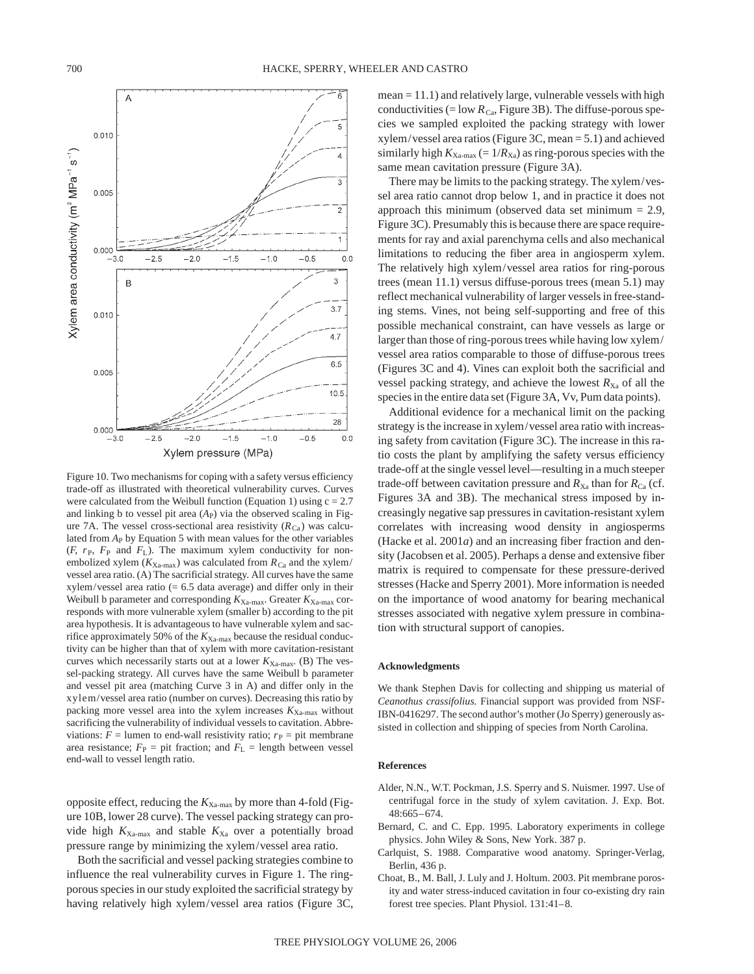

Figure 10. Two mechanisms for coping with a safety versus efficiency trade-off as illustrated with theoretical vulnerability curves. Curves were calculated from the Weibull function (Equation 1) using  $c = 2.7$ and linking b to vessel pit area  $(A<sub>P</sub>)$  via the observed scaling in Figure 7A. The vessel cross-sectional area resistivity  $(R<sub>Ca</sub>)$  was calculated from  $A_P$  by Equation 5 with mean values for the other variables  $(F, r_P, F_P \text{ and } F_L)$ . The maximum xylem conductivity for nonembolized xylem ( $K_{\text{Xa-max}}$ ) was calculated from  $R_{\text{Ca}}$  and the xylem/ vessel area ratio. (A) The sacrificial strategy. All curves have the same xylem/vessel area ratio  $(= 6.5$  data average) and differ only in their Weibull b parameter and corresponding  $K_{\text{Xa-max}}$ . Greater  $K_{\text{Xa-max}}$  corresponds with more vulnerable xylem (smaller b) according to the pit area hypothesis. It is advantageous to have vulnerable xylem and sacrifice approximately 50% of the  $K_{\text{Xa-max}}$  because the residual conductivity can be higher than that of xylem with more cavitation-resistant curves which necessarily starts out at a lower  $K_{\text{Xa-max}}$ . (B) The vessel-packing strategy. All curves have the same Weibull b parameter and vessel pit area (matching Curve 3 in A) and differ only in the xylem/vessel area ratio (number on curves). Decreasing this ratio by packing more vessel area into the xylem increases  $K_{\text{Xa-max}}$  without sacrificing the vulnerability of individual vessels to cavitation. Abbreviations:  $F =$  lumen to end-wall resistivity ratio;  $r_P =$  pit membrane area resistance;  $F_P$  = pit fraction; and  $F_L$  = length between vessel end-wall to vessel length ratio.

opposite effect, reducing the  $K_{\text{Xa-max}}$  by more than 4-fold (Figure 10B, lower 28 curve). The vessel packing strategy can provide high  $K_{\text{Xa-max}}$  and stable  $K_{\text{Xa}}$  over a potentially broad pressure range by minimizing the xylem/vessel area ratio.

Both the sacrificial and vessel packing strategies combine to influence the real vulnerability curves in Figure 1. The ringporous species in our study exploited the sacrificial strategy by having relatively high xylem/vessel area ratios (Figure 3C, mean = 11.1) and relatively large, vulnerable vessels with high conductivities (= low  $R_{Ca}$ , Figure 3B). The diffuse-porous species we sampled exploited the packing strategy with lower xylem/vessel area ratios (Figure 3C, mean = 5.1) and achieved similarly high  $K_{\text{Xa-max}} (= 1/R_{\text{Xa}})$  as ring-porous species with the same mean cavitation pressure (Figure 3A).

There may be limits to the packing strategy. The xylem/vessel area ratio cannot drop below 1, and in practice it does not approach this minimum (observed data set minimum  $= 2.9$ , Figure 3C). Presumably this is because there are space requirements for ray and axial parenchyma cells and also mechanical limitations to reducing the fiber area in angiosperm xylem. The relatively high xylem/vessel area ratios for ring-porous trees (mean 11.1) versus diffuse-porous trees (mean 5.1) may reflect mechanical vulnerability of larger vessels in free-standing stems. Vines, not being self-supporting and free of this possible mechanical constraint, can have vessels as large or larger than those of ring-porous trees while having low xylem/ vessel area ratios comparable to those of diffuse-porous trees (Figures 3C and 4). Vines can exploit both the sacrificial and vessel packing strategy, and achieve the lowest  $R_{Xa}$  of all the species in the entire data set (Figure 3A, Vv, Pum data points).

Additional evidence for a mechanical limit on the packing strategy is the increase in xylem/vessel area ratio with increasing safety from cavitation (Figure 3C). The increase in this ratio costs the plant by amplifying the safety versus efficiency trade-off at the single vessel level—resulting in a much steeper trade-off between cavitation pressure and  $R_{Xa}$  than for  $R_{Ca}$  (cf. Figures 3A and 3B). The mechanical stress imposed by increasingly negative sap pressures in cavitation-resistant xylem correlates with increasing wood density in angiosperms (Hacke et al. 2001*a*) and an increasing fiber fraction and density (Jacobsen et al. 2005). Perhaps a dense and extensive fiber matrix is required to compensate for these pressure-derived stresses (Hacke and Sperry 2001). More information is needed on the importance of wood anatomy for bearing mechanical stresses associated with negative xylem pressure in combination with structural support of canopies.

#### **Acknowledgments**

We thank Stephen Davis for collecting and shipping us material of *Ceanothus crassifolius*. Financial support was provided from NSF-IBN-0416297. The second author's mother (Jo Sperry) generously assisted in collection and shipping of species from North Carolina.

#### **References**

- Alder, N.N., W.T. Pockman, J.S. Sperry and S. Nuismer. 1997. Use of centrifugal force in the study of xylem cavitation. J. Exp. Bot. 48:665–674.
- Bernard, C. and C. Epp. 1995. Laboratory experiments in college physics. John Wiley & Sons, New York. 387 p.
- Carlquist, S. 1988. Comparative wood anatomy. Springer-Verlag, Berlin, 436 p.
- Choat, B., M. Ball, J. Luly and J. Holtum. 2003. Pit membrane porosity and water stress-induced cavitation in four co-existing dry rain forest tree species. Plant Physiol. 131:41–8.